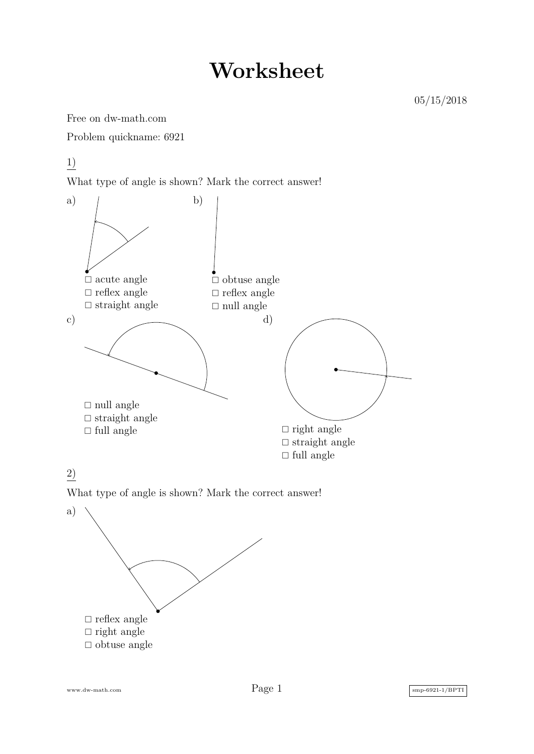## **Worksheet**

Free on dw-math.com

Problem quickname: 6921

1)

What type of angle is shown? Mark the correct answer!



## 2)

What type of angle is shown? Mark the correct answer!



www.dw-math.com  $Page\ 1$  smp-6921-1/BPTI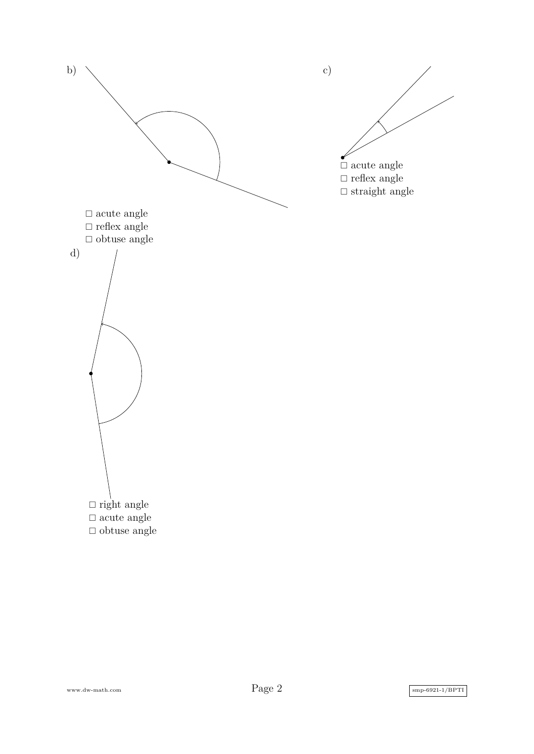

www.dw-math.com  $Page\ 2$  smp-6921-1/BPTI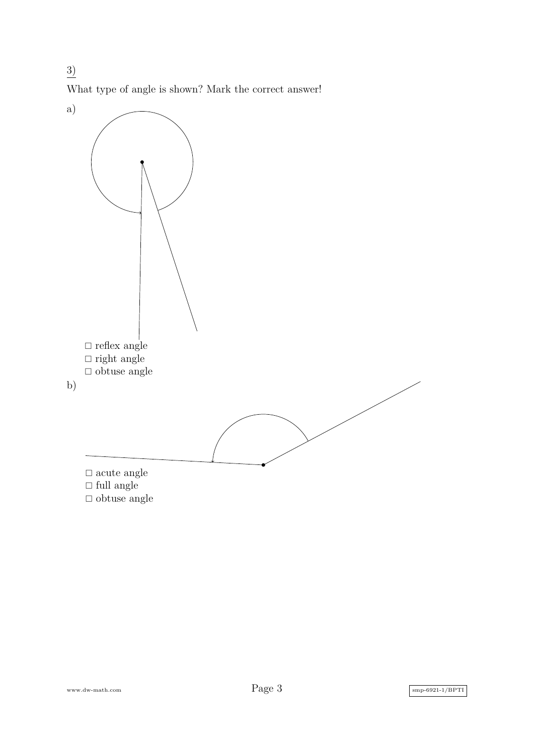What type of angle is shown? Mark the correct answer!

3)



www.dw-math.com  $Page\ 3$  smp-6921-1/BPTI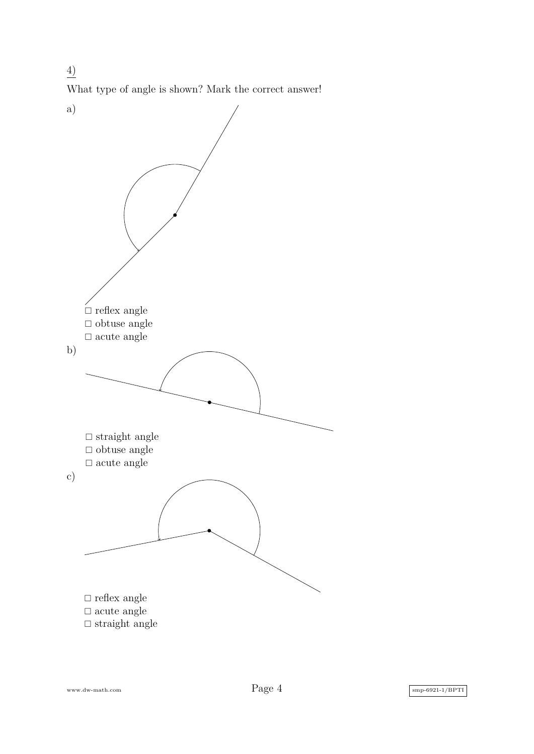4) What type of angle is shown? Mark the correct answer!



www.dw-math.com  $Page\ 4$  smp-6921-1/BPTI